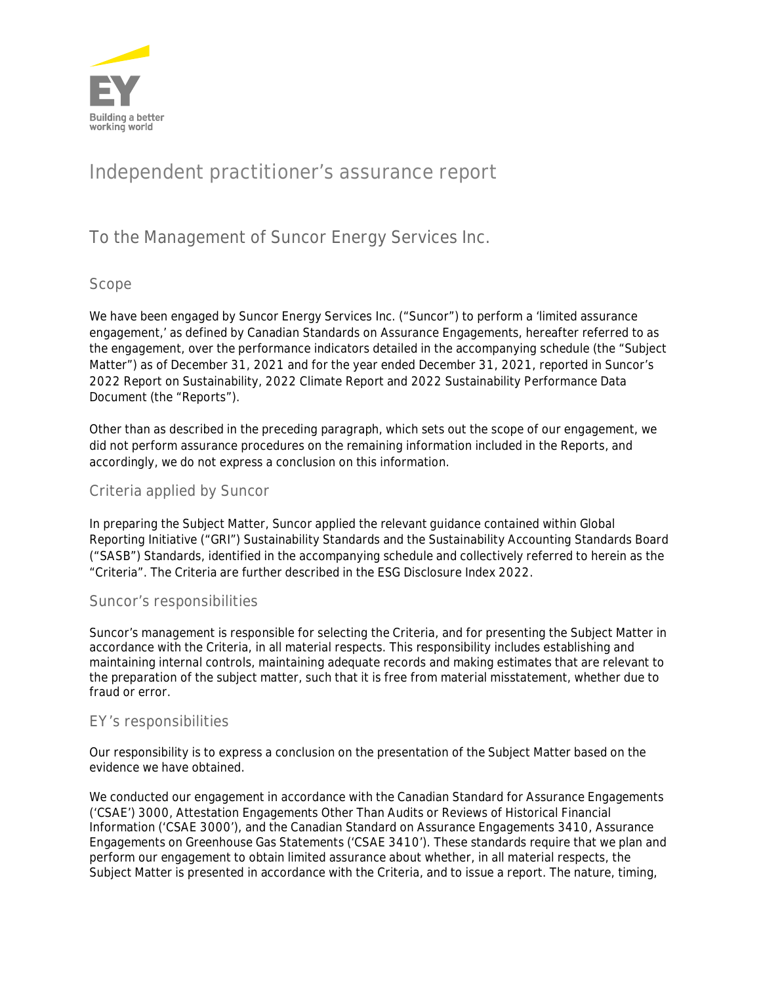

# **Independent practitioner's assurance report**

## To the Management of Suncor Energy Services Inc.

### **Scope**

We have been engaged by Suncor Energy Services Inc. ("Suncor") to perform a 'limited assurance engagement,' as defined by Canadian Standards on Assurance Engagements, hereafter referred to as the engagement, over the performance indicators detailed in the accompanying schedule (the "Subject Matter") as of December 31, 2021 and for the year ended December 31, 2021, reported in Suncor's 2022 Report on Sustainability, 2022 Climate Report and 2022 Sustainability Performance Data Document (the "Reports").

Other than as described in the preceding paragraph, which sets out the scope of our engagement, we did not perform assurance procedures on the remaining information included in the Reports, and accordingly, we do not express a conclusion on this information.

## **Criteria applied by Suncor**

In preparing the Subject Matter, Suncor applied the relevant guidance contained within Global Reporting Initiative ("GRI") Sustainability Standards and the Sustainability Accounting Standards Board ("SASB") Standards, identified in the accompanying schedule and collectively referred to herein as the "Criteria". The Criteria are further described in the ESG Disclosure Index 2022.

#### **Suncor's responsibilities**

Suncor's management is responsible for selecting the Criteria, and for presenting the Subject Matter in accordance with the Criteria, in all material respects. This responsibility includes establishing and maintaining internal controls, maintaining adequate records and making estimates that are relevant to the preparation of the subject matter, such that it is free from material misstatement, whether due to fraud or error.

#### **EY's responsibilities**

Our responsibility is to express a conclusion on the presentation of the Subject Matter based on the evidence we have obtained.

We conducted our engagement in accordance with the *Canadian Standard for Assurance Engagements ('CSAE') 3000, Attestation Engagements Other Than Audits or Reviews of Historical Financial Information* ('CSAE 3000'), and *the Canadian Standard on Assurance Engagements* 3410, *Assurance Engagements on Greenhouse Gas Statements* ('CSAE 3410'). These standards require that we plan and perform our engagement to obtain limited assurance about whether, in all material respects, the Subject Matter is presented in accordance with the Criteria, and to issue a report. The nature, timing,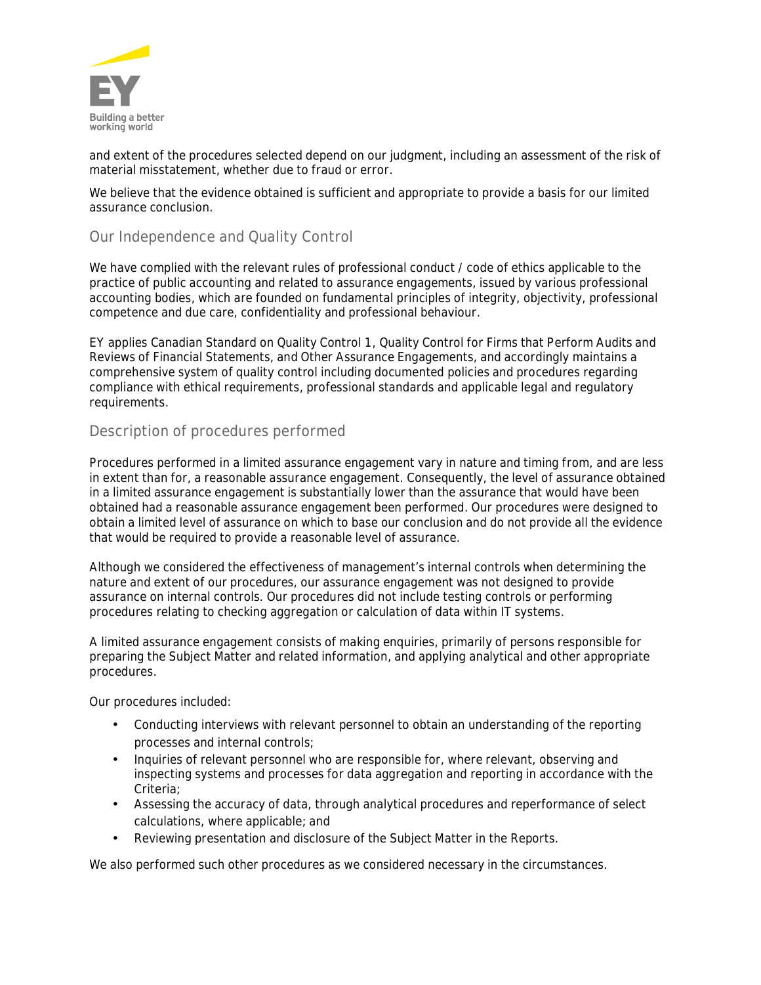

and extent of the procedures selected depend on our judgment, including an assessment of the risk of material misstatement, whether due to fraud or error.

We believe that the evidence obtained is sufficient and appropriate to provide a basis for our limited assurance conclusion.

## **Our Independence and Quality Control**

We have complied with the relevant rules of professional conduct / code of ethics applicable to the practice of public accounting and related to assurance engagements, issued by various professional accounting bodies, which are founded on fundamental principles of integrity, objectivity, professional competence and due care, confidentiality and professional behaviour.

EY applies *Canadian Standard on Quality Control 1, Quality Control for Firms that Perform Audits and Reviews of Financial Statements, and Other Assurance Engagements*, and accordingly maintains a comprehensive system of quality control including documented policies and procedures regarding compliance with ethical requirements, professional standards and applicable legal and regulatory requirements.

#### **Description of procedures performed**

Procedures performed in a limited assurance engagement vary in nature and timing from, and are less in extent than for, a reasonable assurance engagement. Consequently, the level of assurance obtained in a limited assurance engagement is substantially lower than the assurance that would have been obtained had a reasonable assurance engagement been performed. Our procedures were designed to obtain a limited level of assurance on which to base our conclusion and do not provide all the evidence that would be required to provide a reasonable level of assurance.

Although we considered the effectiveness of management's internal controls when determining the nature and extent of our procedures, our assurance engagement was not designed to provide assurance on internal controls. Our procedures did not include testing controls or performing procedures relating to checking aggregation or calculation of data within IT systems.

A limited assurance engagement consists of making enquiries, primarily of persons responsible for preparing the Subject Matter and related information, and applying analytical and other appropriate procedures.

Our procedures included:

- Conducting interviews with relevant personnel to obtain an understanding of the reporting processes and internal controls;
- Inquiries of relevant personnel who are responsible for, where relevant, observing and inspecting systems and processes for data aggregation and reporting in accordance with the Criteria;
- Assessing the accuracy of data, through analytical procedures and reperformance of select calculations, where applicable; and
- Reviewing presentation and disclosure of the Subject Matter in the Reports.

We also performed such other procedures as we considered necessary in the circumstances.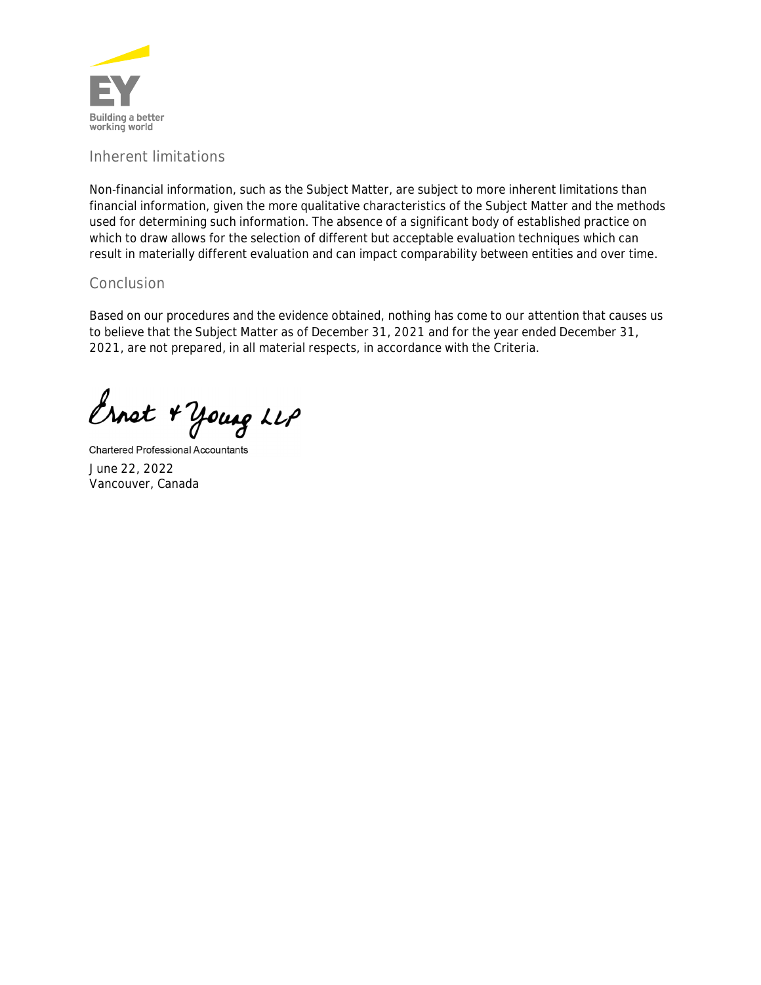

## **Inherent limitations**

Non-financial information, such as the Subject Matter, are subject to more inherent limitations than financial information, given the more qualitative characteristics of the Subject Matter and the methods used for determining such information. The absence of a significant body of established practice on which to draw allows for the selection of different but acceptable evaluation techniques which can result in materially different evaluation and can impact comparability between entities and over time.

#### **Conclusion**

Based on our procedures and the evidence obtained, nothing has come to our attention that causes us to believe that the Subject Matter as of December 31, 2021 and for the year ended December 31, 2021, are not prepared, in all material respects, in accordance with the Criteria.

Ernet + Young LLP

**Chartered Professional Accountants** June 22, 2022 Vancouver, Canada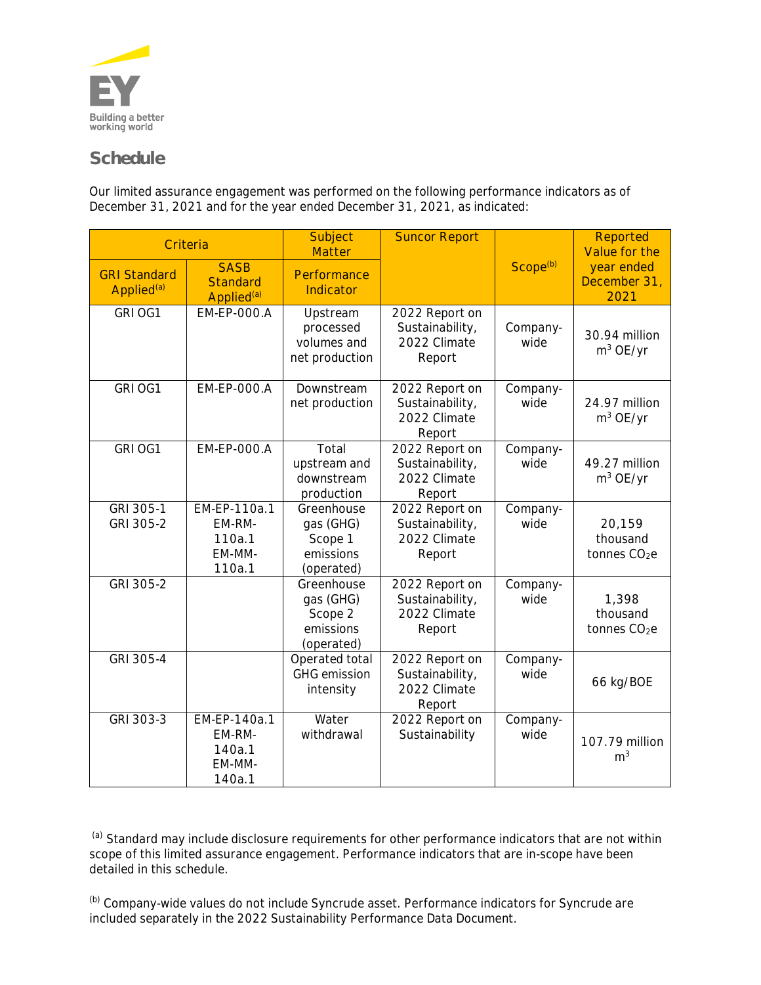

## **Schedule**

Our limited assurance engagement was performed on the following performance indicators as of December 31, 2021 and for the year ended December 31, 2021, as indicated:

| Criteria                                      |                                                          | Subject<br><b>Matter</b>                                      | <b>Suncor Report</b>                                        |                      | Reported<br>Value for the                      |
|-----------------------------------------------|----------------------------------------------------------|---------------------------------------------------------------|-------------------------------------------------------------|----------------------|------------------------------------------------|
| <b>GRI Standard</b><br>Applied <sup>(a)</sup> | <b>SASB</b><br><b>Standard</b><br>Applied <sup>(a)</sup> | Performance<br>Indicator                                      |                                                             | Scope <sup>(b)</sup> | year ended<br>December 31,<br>2021             |
| GRI OG1                                       | EM-EP-000.A                                              | Upstream<br>processed<br>volumes and<br>net production        | 2022 Report on<br>Sustainability,<br>2022 Climate<br>Report | Company-<br>wide     | 30.94 million<br>$m^3$ OE/yr                   |
| GRI OG1                                       | EM-EP-000.A                                              | Downstream<br>net production                                  | 2022 Report on<br>Sustainability,<br>2022 Climate<br>Report | Company-<br>wide     | 24.97 million<br>$m^3$ OE/yr                   |
| GRI OG1                                       | EM-EP-000.A                                              | Total<br>upstream and<br>downstream<br>production             | 2022 Report on<br>Sustainability,<br>2022 Climate<br>Report | Company-<br>wide     | 49.27 million<br>$m3$ OE/yr                    |
| GRI 305-1<br>GRI 305-2                        | EM-EP-110a.1<br>EM-RM-<br>110a.1<br>EM-MM-<br>110a.1     | Greenhouse<br>gas (GHG)<br>Scope 1<br>emissions<br>(operated) | 2022 Report on<br>Sustainability,<br>2022 Climate<br>Report | Company-<br>wide     | 20,159<br>thousand<br>tonnes CO <sub>2</sub> e |
| GRI 305-2                                     |                                                          | Greenhouse<br>gas (GHG)<br>Scope 2<br>emissions<br>(operated) | 2022 Report on<br>Sustainability,<br>2022 Climate<br>Report | Company-<br>wide     | 1,398<br>thousand<br>tonnes $CO2e$             |
| GRI 305-4                                     |                                                          | Operated total<br>GHG emission<br>intensity                   | 2022 Report on<br>Sustainability,<br>2022 Climate<br>Report | Company-<br>wide     | 66 kg/BOE                                      |
| GRI 303-3                                     | EM-EP-140a.1<br>EM-RM-<br>140a.1<br>EM-MM-<br>140a.1     | Water<br>withdrawal                                           | 2022 Report on<br>Sustainability                            | Company-<br>wide     | 107.79 million<br>m <sup>3</sup>               |

(a) Standard may include disclosure requirements for other performance indicators that are not within scope of this limited assurance engagement. Performance indicators that are in-scope have been detailed in this schedule.

(b) Company-wide values do not include Syncrude asset. Performance indicators for Syncrude are included separately in the 2022 Sustainability Performance Data Document.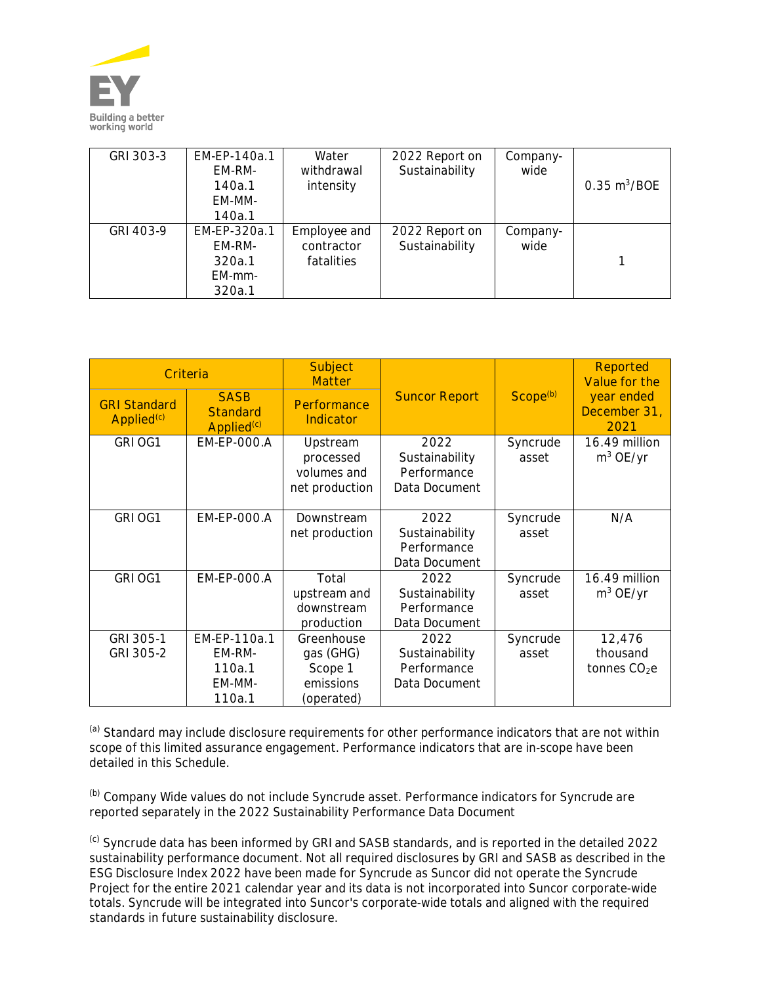

| GRI 303-3 | EM-EP-140a.1<br>EM-RM-<br>140a.1<br>EM-MM-<br>140a.1 | Water<br>withdrawal<br>intensity         | 2022 Report on<br>Sustainability | Company-<br>wide | 0.35 $m^3$ /BOE |
|-----------|------------------------------------------------------|------------------------------------------|----------------------------------|------------------|-----------------|
| GRI 403-9 | EM-EP-320a.1<br>EM-RM-<br>320a.1<br>EM-mm-<br>320a.1 | Employee and<br>contractor<br>fatalities | 2022 Report on<br>Sustainability | Company-<br>wide |                 |

| Criteria                                      |                                                          | Subject<br><b>Matter</b>                                      |                                                        |                      | Reported<br>Value for the           |
|-----------------------------------------------|----------------------------------------------------------|---------------------------------------------------------------|--------------------------------------------------------|----------------------|-------------------------------------|
| <b>GRI Standard</b><br>Applied <sup>(c)</sup> | <b>SASB</b><br><b>Standard</b><br>Applied <sup>(c)</sup> | Performance<br>Indicator                                      | <b>Suncor Report</b>                                   | Scope <sup>(b)</sup> | year ended<br>December 31,<br>2021  |
| GRI OG1                                       | EM-EP-000.A                                              | Upstream<br>processed<br>volumes and<br>net production        | 2022<br>Sustainability<br>Performance<br>Data Document | Syncrude<br>asset    | 16.49 million<br>$m^3$ OE/yr        |
| GRI OG1                                       | EM-EP-000.A                                              | Downstream<br>net production                                  | 2022<br>Sustainability<br>Performance<br>Data Document | Syncrude<br>asset    | N/A                                 |
| GRI OG1                                       | EM-EP-000.A                                              | Total<br>upstream and<br>downstream<br>production             | 2022<br>Sustainability<br>Performance<br>Data Document | Syncrude<br>asset    | 16.49 million<br>$m3$ OE/yr         |
| GRI 305-1<br>GRI 305-2                        | EM-EP-110a.1<br>EM-RM-<br>110a.1<br>EM-MM-<br>110a.1     | Greenhouse<br>gas (GHG)<br>Scope 1<br>emissions<br>(operated) | 2022<br>Sustainability<br>Performance<br>Data Document | Syncrude<br>asset    | 12,476<br>thousand<br>tonnes $CO2e$ |

(a) Standard may include disclosure requirements for other performance indicators that are not within scope of this limited assurance engagement. Performance indicators that are in-scope have been detailed in this Schedule.

(b) Company Wide values do not include Syncrude asset. Performance indicators for Syncrude are reported separately in the 2022 Sustainability Performance Data Document

(c) Syncrude data has been informed by GRI and SASB standards, and is reported in the detailed 2022 sustainability performance document. Not all required disclosures by GRI and SASB as described in the ESG Disclosure Index 2022 have been made for Syncrude as Suncor did not operate the Syncrude Project for the entire 2021 calendar year and its data is not incorporated into Suncor corporate-wide totals. Syncrude will be integrated into Suncor's corporate-wide totals and aligned with the required standards in future sustainability disclosure.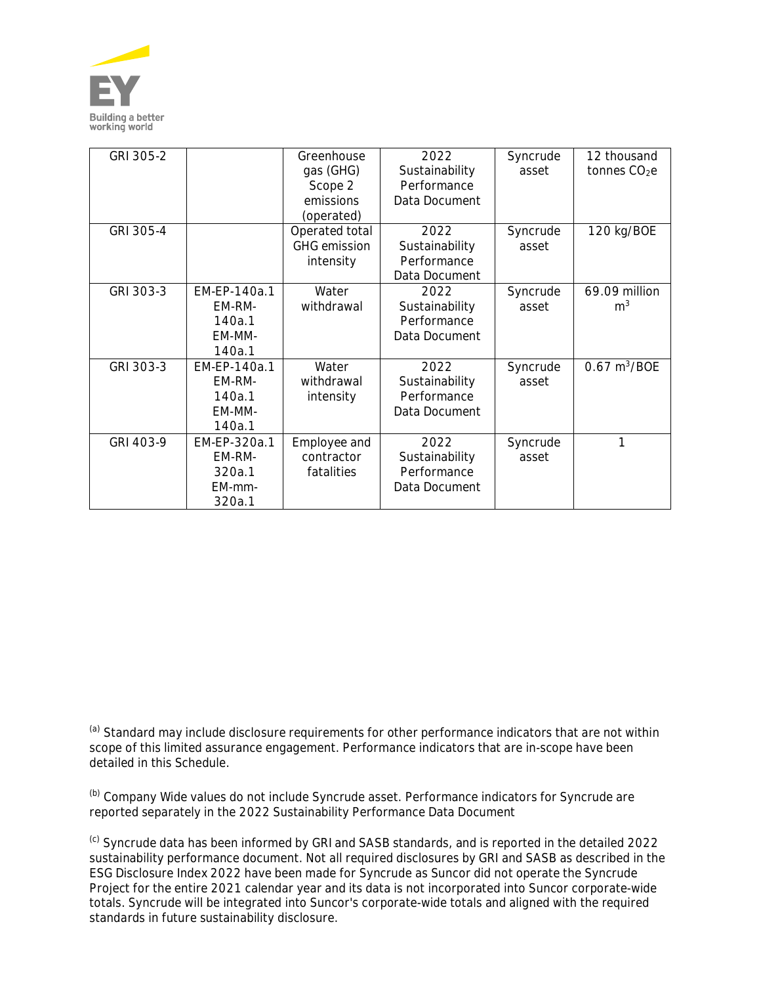

| GRI 305-2 |                                                      | Greenhouse<br>gas (GHG)<br>Scope 2                 | 2022<br>Sustainability<br>Performance                  | Syncrude<br>asset | 12 thousand<br>tonnes $CO2e$    |
|-----------|------------------------------------------------------|----------------------------------------------------|--------------------------------------------------------|-------------------|---------------------------------|
|           |                                                      | emissions<br>(operated)                            | Data Document                                          |                   |                                 |
| GRI 305-4 |                                                      | Operated total<br><b>GHG</b> emission<br>intensity | 2022<br>Sustainability<br>Performance<br>Data Document | Syncrude<br>asset | 120 kg/BOE                      |
| GRI 303-3 | EM-EP-140a.1<br>EM-RM-<br>140a.1<br>EM-MM-<br>140a.1 | Water<br>withdrawal                                | 2022<br>Sustainability<br>Performance<br>Data Document | Syncrude<br>asset | 69.09 million<br>m <sup>3</sup> |
| GRI 303-3 | EM-EP-140a.1<br>EM-RM-<br>140a.1<br>EM-MM-<br>140a.1 | Water<br>withdrawal<br>intensity                   | 2022<br>Sustainability<br>Performance<br>Data Document | Syncrude<br>asset | $0.67 \text{ m}^3/\text{BOE}$   |
| GRI 403-9 | EM-EP-320a.1<br>EM-RM-<br>320a.1<br>EM-mm-<br>320a.1 | Employee and<br>contractor<br>fatalities           | 2022<br>Sustainability<br>Performance<br>Data Document | Syncrude<br>asset | 1                               |

(a) Standard may include disclosure requirements for other performance indicators that are not within scope of this limited assurance engagement. Performance indicators that are in-scope have been detailed in this Schedule.

(b) Company Wide values do not include Syncrude asset. Performance indicators for Syncrude are reported separately in the 2022 Sustainability Performance Data Document

(c) Syncrude data has been informed by GRI and SASB standards, and is reported in the detailed 2022 sustainability performance document. Not all required disclosures by GRI and SASB as described in the ESG Disclosure Index 2022 have been made for Syncrude as Suncor did not operate the Syncrude Project for the entire 2021 calendar year and its data is not incorporated into Suncor corporate-wide totals. Syncrude will be integrated into Suncor's corporate-wide totals and aligned with the required standards in future sustainability disclosure.